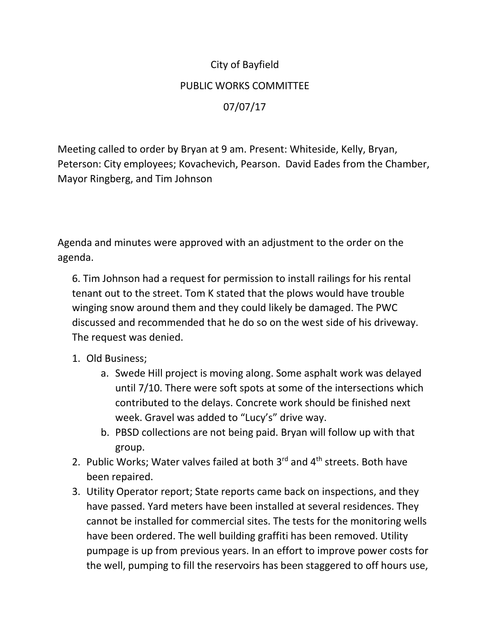## City of Bayfield PUBLIC WORKS COMMITTEE 07/07/17

Meeting called to order by Bryan at 9 am. Present: Whiteside, Kelly, Bryan, Peterson: City employees; Kovachevich, Pearson. David Eades from the Chamber, Mayor Ringberg, and Tim Johnson

Agenda and minutes were approved with an adjustment to the order on the agenda.

6. Tim Johnson had a request for permission to install railings for his rental tenant out to the street. Tom K stated that the plows would have trouble winging snow around them and they could likely be damaged. The PWC discussed and recommended that he do so on the west side of his driveway. The request was denied.

## 1. Old Business;

- a. Swede Hill project is moving along. Some asphalt work was delayed until 7/10. There were soft spots at some of the intersections which contributed to the delays. Concrete work should be finished next week. Gravel was added to "Lucy's" drive way.
- b. PBSD collections are not being paid. Bryan will follow up with that group.
- 2. Public Works; Water valves failed at both  $3^{rd}$  and  $4^{th}$  streets. Both have been repaired.
- 3. Utility Operator report; State reports came back on inspections, and they have passed. Yard meters have been installed at several residences. They cannot be installed for commercial sites. The tests for the monitoring wells have been ordered. The well building graffiti has been removed. Utility pumpage is up from previous years. In an effort to improve power costs for the well, pumping to fill the reservoirs has been staggered to off hours use,